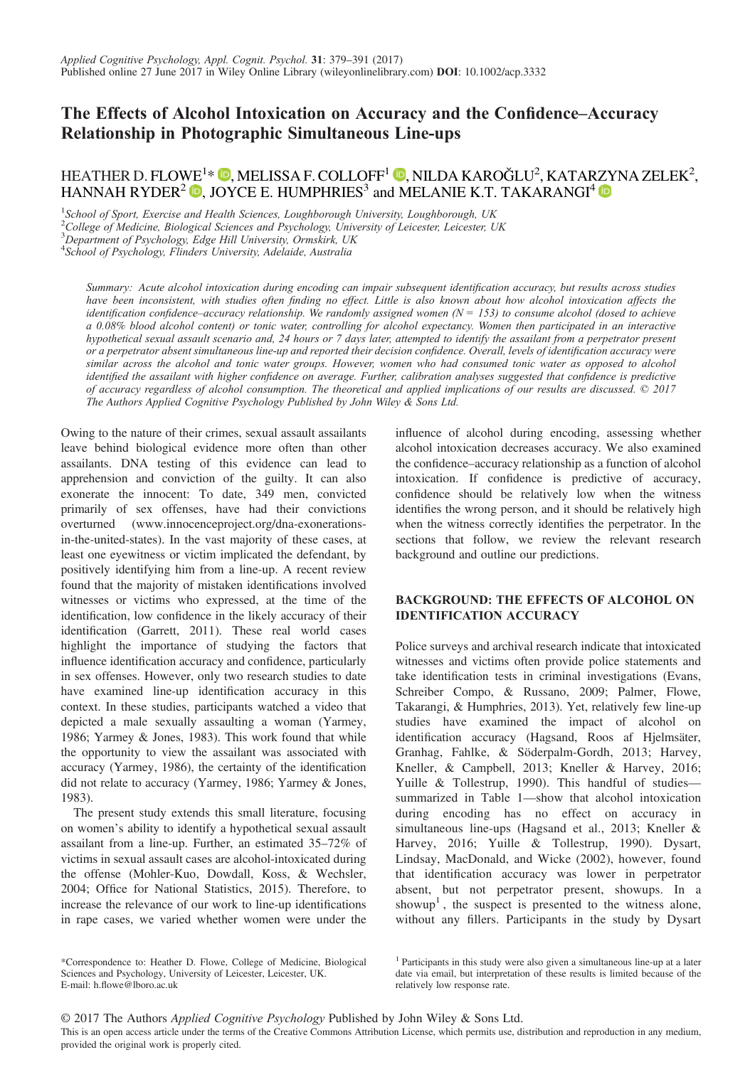# The Effects of Alcohol Intoxication on Accuracy and the Confidence–Accuracy Relationship in Photographic Simultaneous Line-ups

# HEATHER D. FLOWE<sup>1</sup>\* ©[,](http://orcid.org/0000-0001-5343-5313) MELISSA F. COLLOFF<sup>1</sup> ©, NILDA KAROĞLU<sup>2</sup>, KATARZYNA ZELEK<sup>2</sup>, HANNAH RYDER<sup>2</sup>  $\bullet$ , JOYCE E. HUMPHRIES<sup>3</sup> and MELANIE K.T. TAKARANGI<sup>4</sup>  $\bullet$

<sup>1</sup>School of Sport, Exercise and Health Sciences, Loughborough University, Loughborough, UK <sup>2</sup>College of Medicine, Biological Sciences and Psychology, University of Leicester, Leicester, UK <sup>3</sup>Department of Psychology, Edge Hill University, Ormskirk, UK 4 School of Psychology, Flinders University, Adelaide, Australia

Summary: Acute alcohol intoxication during encoding can impair subsequent identification accuracy, but results across studies have been inconsistent, with studies often finding no effect. Little is also known about how alcohol intoxication affects the identification confidence–accuracy relationship. We randomly assigned women  $(N = 153)$  to consume alcohol (dosed to achieve a 0.08% blood alcohol content) or tonic water, controlling for alcohol expectancy. Women then participated in an interactive hypothetical sexual assault scenario and, 24 hours or 7 days later, attempted to identify the assailant from a perpetrator present or a perpetrator absent simultaneous line-up and reported their decision confidence. Overall, levels of identification accuracy were similar across the alcohol and tonic water groups. However, women who had consumed tonic water as opposed to alcohol identified the assailant with higher confidence on average. Further, calibration analyses suggested that confidence is predictive of accuracy regardless of alcohol consumption. The theoretical and applied implications of our results are discussed. © 2017 The Authors Applied Cognitive Psychology Published by John Wiley & Sons Ltd.

Owing to the nature of their crimes, sexual assault assailants leave behind biological evidence more often than other assailants. DNA testing of this evidence can lead to apprehension and conviction of the guilty. It can also exonerate the innocent: To date, 349 men, convicted primarily of sex offenses, have had their convictions overturned [\(www.innocenceproject.org/dna-exonerations](http://www.innocenceproject.org/dna-exonerations-in-the-united-states)[in-the-united-states](http://www.innocenceproject.org/dna-exonerations-in-the-united-states)). In the vast majority of these cases, at least one eyewitness or victim implicated the defendant, by positively identifying him from a line-up. A recent review found that the majority of mistaken identifications involved witnesses or victims who expressed, at the time of the identification, low confidence in the likely accuracy of their identification (Garrett, 2011). These real world cases highlight the importance of studying the factors that influence identification accuracy and confidence, particularly in sex offenses. However, only two research studies to date have examined line-up identification accuracy in this context. In these studies, participants watched a video that depicted a male sexually assaulting a woman (Yarmey, 1986; Yarmey & Jones, 1983). This work found that while the opportunity to view the assailant was associated with accuracy (Yarmey, 1986), the certainty of the identification did not relate to accuracy (Yarmey, 1986; Yarmey & Jones, 1983).

The present study extends this small literature, focusing on women's ability to identify a hypothetical sexual assault assailant from a line-up. Further, an estimated 35–72% of victims in sexual assault cases are alcohol-intoxicated during the offense (Mohler-Kuo, Dowdall, Koss, & Wechsler, 2004; Office for National Statistics, 2015). Therefore, to increase the relevance of our work to line-up identifications in rape cases, we varied whether women were under the influence of alcohol during encoding, assessing whether alcohol intoxication decreases accuracy. We also examined the confidence–accuracy relationship as a function of alcohol intoxication. If confidence is predictive of accuracy, confidence should be relatively low when the witness identifies the wrong person, and it should be relatively high when the witness correctly identifies the perpetrator. In the sections that follow, we review the relevant research background and outline our predictions.

## BACKGROUND: THE EFFECTS OF ALCOHOL ON IDENTIFICATION ACCURACY

Police surveys and archival research indicate that intoxicated witnesses and victims often provide police statements and take identification tests in criminal investigations (Evans, Schreiber Compo, & Russano, 2009; Palmer, Flowe, Takarangi, & Humphries, 2013). Yet, relatively few line-up studies have examined the impact of alcohol on identification accuracy (Hagsand, Roos af Hjelmsäter, Granhag, Fahlke, & Söderpalm-Gordh, 2013; Harvey, Kneller, & Campbell, 2013; Kneller & Harvey, 2016; Yuille & Tollestrup, 1990). This handful of studiessummarized in Table 1—show that alcohol intoxication during encoding has no effect on accuracy in simultaneous line-ups (Hagsand et al., 2013; Kneller & Harvey, 2016; Yuille & Tollestrup, 1990). Dysart, Lindsay, MacDonald, and Wicke (2002), however, found that identification accuracy was lower in perpetrator absent, but not perpetrator present, showups. In a showup<sup>1</sup>, the suspect is presented to the witness alone, without any fillers. Participants in the study by Dysart

This is an open access article under the terms of the [Creative Commons Attribution](http://creativecommons.org/licenses/by/4.0/) License, which permits use, distribution and reproduction in any medium, provided the original work is properly cited.

<sup>\*</sup>Correspondence to: Heather D. Flowe, College of Medicine, Biological Sciences and Psychology, University of Leicester, Leicester, UK. E-mail: h.flowe@lboro.ac.uk

<sup>&</sup>lt;sup>1</sup> Participants in this study were also given a simultaneous line-up at a later date via email, but interpretation of these results is limited because of the relatively low response rate.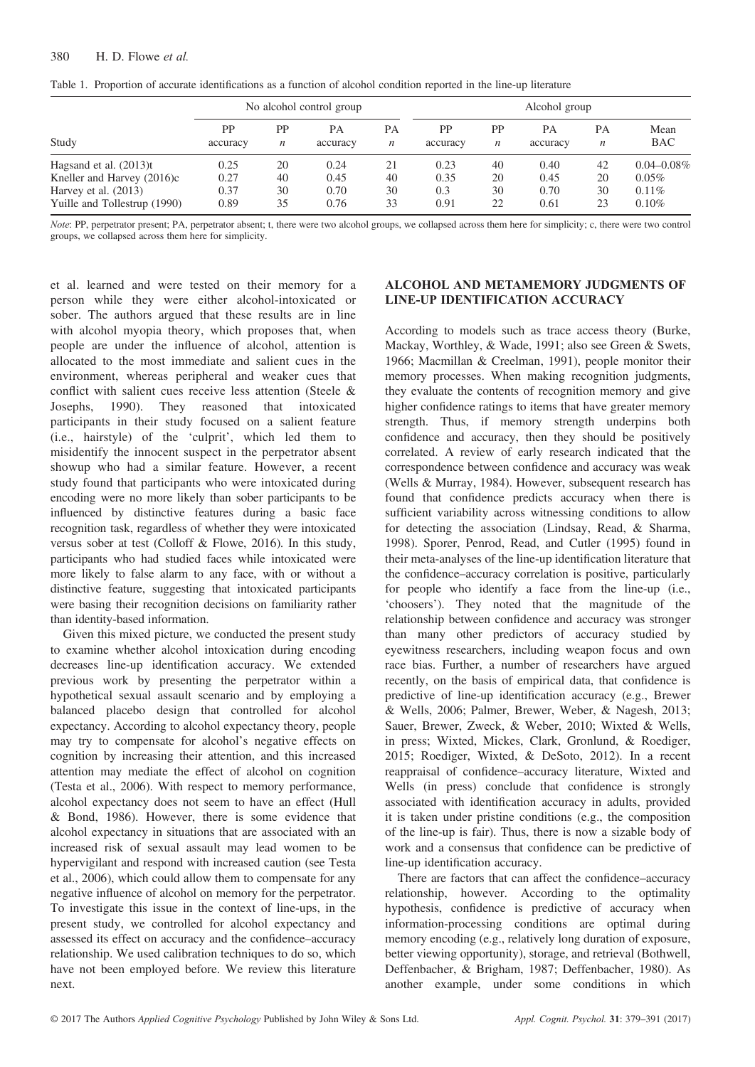|                              | No alcohol control group |    |          |                  | Alcohol group |    |          |                  |                 |
|------------------------------|--------------------------|----|----------|------------------|---------------|----|----------|------------------|-----------------|
| Study                        | PP                       | PP | PA       | PА               | <b>PP</b>     | PP | PА       | PA               | Mean            |
|                              | accuracy                 | n  | accuracy | $\boldsymbol{n}$ | accuracy      | п  | accuracy | $\boldsymbol{n}$ | <b>BAC</b>      |
| Hagsand et al. $(2013)t$     | 0.25                     | 20 | 0.24     | 21               | 0.23          | 40 | 0.40     | 42               | $0.04 - 0.08\%$ |
| Kneller and Harvey $(2016)c$ | 0.27                     | 40 | 0.45     | 40               | 0.35          | 20 | 0.45     | 20               | $0.05\%$        |
| Harvey et al. $(2013)$       | 0.37                     | 30 | 0.70     | 30               | 0.3           | 30 | 0.70     | 30               | 0.11%           |
| Yuille and Tollestrup (1990) | 0.89                     | 35 | 0.76     | 33               | 0.91          | 22 | 0.61     | 23               | 0.10%           |

Table 1. Proportion of accurate identifications as a function of alcohol condition reported in the line-up literature

Note: PP, perpetrator present; PA, perpetrator absent; t, there were two alcohol groups, we collapsed across them here for simplicity; c, there were two control groups, we collapsed across them here for simplicity.

et al. learned and were tested on their memory for a person while they were either alcohol-intoxicated or sober. The authors argued that these results are in line with alcohol myopia theory, which proposes that, when people are under the influence of alcohol, attention is allocated to the most immediate and salient cues in the environment, whereas peripheral and weaker cues that conflict with salient cues receive less attention (Steele & Josephs, 1990). They reasoned that intoxicated 1990). They reasoned that intoxicated participants in their study focused on a salient feature (i.e., hairstyle) of the 'culprit', which led them to misidentify the innocent suspect in the perpetrator absent showup who had a similar feature. However, a recent study found that participants who were intoxicated during encoding were no more likely than sober participants to be influenced by distinctive features during a basic face recognition task, regardless of whether they were intoxicated versus sober at test (Colloff & Flowe, 2016). In this study, participants who had studied faces while intoxicated were more likely to false alarm to any face, with or without a distinctive feature, suggesting that intoxicated participants were basing their recognition decisions on familiarity rather than identity-based information.

Given this mixed picture, we conducted the present study to examine whether alcohol intoxication during encoding decreases line-up identification accuracy. We extended previous work by presenting the perpetrator within a hypothetical sexual assault scenario and by employing a balanced placebo design that controlled for alcohol expectancy. According to alcohol expectancy theory, people may try to compensate for alcohol's negative effects on cognition by increasing their attention, and this increased attention may mediate the effect of alcohol on cognition (Testa et al., 2006). With respect to memory performance, alcohol expectancy does not seem to have an effect (Hull & Bond, 1986). However, there is some evidence that alcohol expectancy in situations that are associated with an increased risk of sexual assault may lead women to be hypervigilant and respond with increased caution (see Testa et al., 2006), which could allow them to compensate for any negative influence of alcohol on memory for the perpetrator. To investigate this issue in the context of line-ups, in the present study, we controlled for alcohol expectancy and assessed its effect on accuracy and the confidence–accuracy relationship. We used calibration techniques to do so, which have not been employed before. We review this literature next.

# ALCOHOL AND METAMEMORY JUDGMENTS OF LINE-UP IDENTIFICATION ACCURACY

According to models such as trace access theory (Burke, Mackay, Worthley, & Wade, 1991; also see Green & Swets, 1966; Macmillan & Creelman, 1991), people monitor their memory processes. When making recognition judgments, they evaluate the contents of recognition memory and give higher confidence ratings to items that have greater memory strength. Thus, if memory strength underpins both confidence and accuracy, then they should be positively correlated. A review of early research indicated that the correspondence between confidence and accuracy was weak (Wells & Murray, 1984). However, subsequent research has found that confidence predicts accuracy when there is sufficient variability across witnessing conditions to allow for detecting the association (Lindsay, Read, & Sharma, 1998). Sporer, Penrod, Read, and Cutler (1995) found in their meta-analyses of the line-up identification literature that the confidence–accuracy correlation is positive, particularly for people who identify a face from the line-up (i.e., 'choosers'). They noted that the magnitude of the relationship between confidence and accuracy was stronger than many other predictors of accuracy studied by eyewitness researchers, including weapon focus and own race bias. Further, a number of researchers have argued recently, on the basis of empirical data, that confidence is predictive of line-up identification accuracy (e.g., Brewer & Wells, 2006; Palmer, Brewer, Weber, & Nagesh, 2013; Sauer, Brewer, Zweck, & Weber, 2010; Wixted & Wells, in press; Wixted, Mickes, Clark, Gronlund, & Roediger, 2015; Roediger, Wixted, & DeSoto, 2012). In a recent reappraisal of confidence–accuracy literature, Wixted and Wells (in press) conclude that confidence is strongly associated with identification accuracy in adults, provided it is taken under pristine conditions (e.g., the composition of the line-up is fair). Thus, there is now a sizable body of work and a consensus that confidence can be predictive of line-up identification accuracy.

There are factors that can affect the confidence–accuracy relationship, however. According to the optimality hypothesis, confidence is predictive of accuracy when information-processing conditions are optimal during memory encoding (e.g., relatively long duration of exposure, better viewing opportunity), storage, and retrieval (Bothwell, Deffenbacher, & Brigham, 1987; Deffenbacher, 1980). As another example, under some conditions in which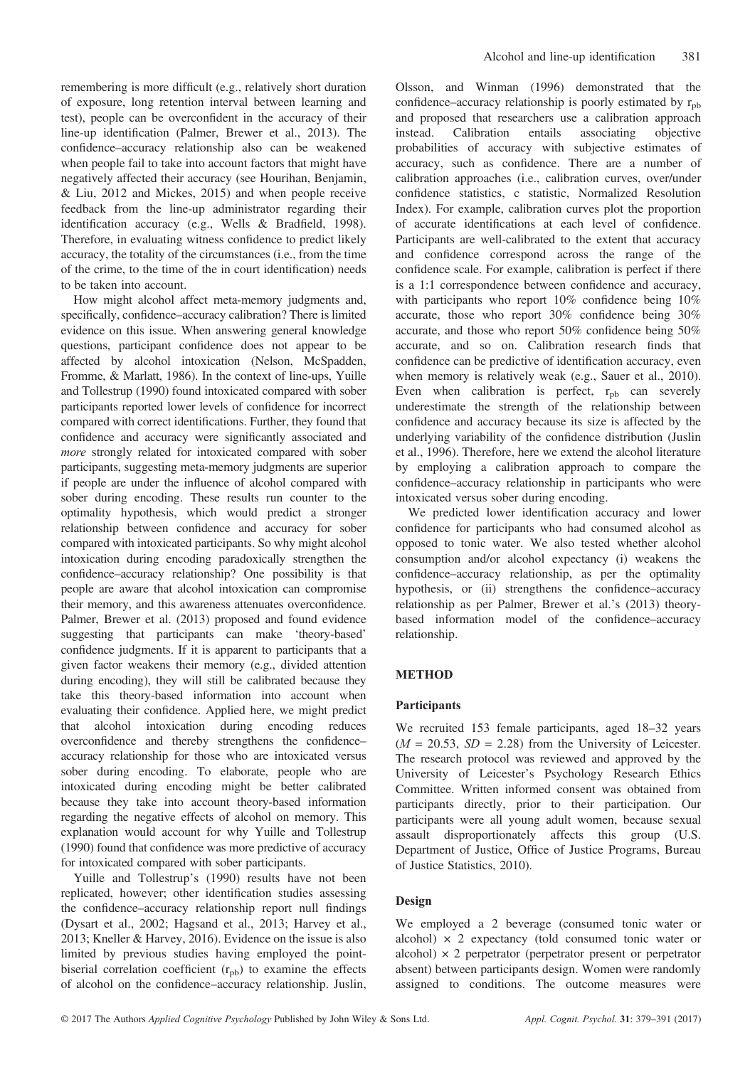remembering is more difficult (e.g., relatively short duration of exposure, long retention interval between learning and test), people can be overconfident in the accuracy of their line-up identification (Palmer, Brewer et al., 2013). The confidence–accuracy relationship also can be weakened when people fail to take into account factors that might have negatively affected their accuracy (see Hourihan, Benjamin, & Liu, 2012 and Mickes, 2015) and when people receive feedback from the line-up administrator regarding their identification accuracy (e.g., Wells & Bradfield, 1998). Therefore, in evaluating witness confidence to predict likely accuracy, the totality of the circumstances (i.e., from the time of the crime, to the time of the in court identification) needs to be taken into account.

How might alcohol affect meta-memory judgments and, specifically, confidence–accuracy calibration? There is limited evidence on this issue. When answering general knowledge questions, participant confidence does not appear to be affected by alcohol intoxication (Nelson, McSpadden, Fromme, & Marlatt, 1986). In the context of line-ups, Yuille and Tollestrup (1990) found intoxicated compared with sober participants reported lower levels of confidence for incorrect compared with correct identifications. Further, they found that confidence and accuracy were significantly associated and more strongly related for intoxicated compared with sober participants, suggesting meta-memory judgments are superior if people are under the influence of alcohol compared with sober during encoding. These results run counter to the optimality hypothesis, which would predict a stronger relationship between confidence and accuracy for sober compared with intoxicated participants. So why might alcohol intoxication during encoding paradoxically strengthen the confidence–accuracy relationship? One possibility is that people are aware that alcohol intoxication can compromise their memory, and this awareness attenuates overconfidence. Palmer, Brewer et al. (2013) proposed and found evidence suggesting that participants can make 'theory-based' confidence judgments. If it is apparent to participants that a given factor weakens their memory (e.g., divided attention during encoding), they will still be calibrated because they take this theory-based information into account when evaluating their confidence. Applied here, we might predict that alcohol intoxication during encoding reduces overconfidence and thereby strengthens the confidence– accuracy relationship for those who are intoxicated versus sober during encoding. To elaborate, people who are intoxicated during encoding might be better calibrated because they take into account theory-based information regarding the negative effects of alcohol on memory. This explanation would account for why Yuille and Tollestrup (1990) found that confidence was more predictive of accuracy for intoxicated compared with sober participants.

Yuille and Tollestrup's (1990) results have not been replicated, however; other identification studies assessing the confidence–accuracy relationship report null findings (Dysart et al., 2002; Hagsand et al., 2013; Harvey et al., 2013; Kneller & Harvey, 2016). Evidence on the issue is also limited by previous studies having employed the pointbiserial correlation coefficient  $(r_{pb})$  to examine the effects of alcohol on the confidence–accuracy relationship. Juslin, Olsson, and Winman (1996) demonstrated that the confidence–accuracy relationship is poorly estimated by  $r_{\rm pb}$ and proposed that researchers use a calibration approach instead. Calibration entails associating objective probabilities of accuracy with subjective estimates of accuracy, such as confidence. There are a number of calibration approaches (i.e., calibration curves, over/under confidence statistics, c statistic, Normalized Resolution Index). For example, calibration curves plot the proportion of accurate identifications at each level of confidence. Participants are well-calibrated to the extent that accuracy and confidence correspond across the range of the confidence scale. For example, calibration is perfect if there is a 1:1 correspondence between confidence and accuracy, with participants who report 10% confidence being 10% accurate, those who report 30% confidence being 30% accurate, and those who report 50% confidence being 50% accurate, and so on. Calibration research finds that confidence can be predictive of identification accuracy, even when memory is relatively weak (e.g., Sauer et al., 2010). Even when calibration is perfect,  $r_{pb}$  can severely underestimate the strength of the relationship between confidence and accuracy because its size is affected by the underlying variability of the confidence distribution (Juslin et al., 1996). Therefore, here we extend the alcohol literature by employing a calibration approach to compare the confidence–accuracy relationship in participants who were intoxicated versus sober during encoding.

We predicted lower identification accuracy and lower confidence for participants who had consumed alcohol as opposed to tonic water. We also tested whether alcohol consumption and/or alcohol expectancy (i) weakens the confidence–accuracy relationship, as per the optimality hypothesis, or (ii) strengthens the confidence–accuracy relationship as per Palmer, Brewer et al.'s (2013) theorybased information model of the confidence–accuracy relationship.

## **METHOD**

## Participants

We recruited 153 female participants, aged 18–32 years  $(M = 20.53, SD = 2.28)$  from the University of Leicester. The research protocol was reviewed and approved by the University of Leicester's Psychology Research Ethics Committee. Written informed consent was obtained from participants directly, prior to their participation. Our participants were all young adult women, because sexual assault disproportionately affects this group (U.S. Department of Justice, Office of Justice Programs, Bureau of Justice Statistics, 2010).

# Design

We employed a 2 beverage (consumed tonic water or alcohol)  $\times$  2 expectancy (told consumed tonic water or alcohol)  $\times$  2 perpetrator (perpetrator present or perpetrator absent) between participants design. Women were randomly assigned to conditions. The outcome measures were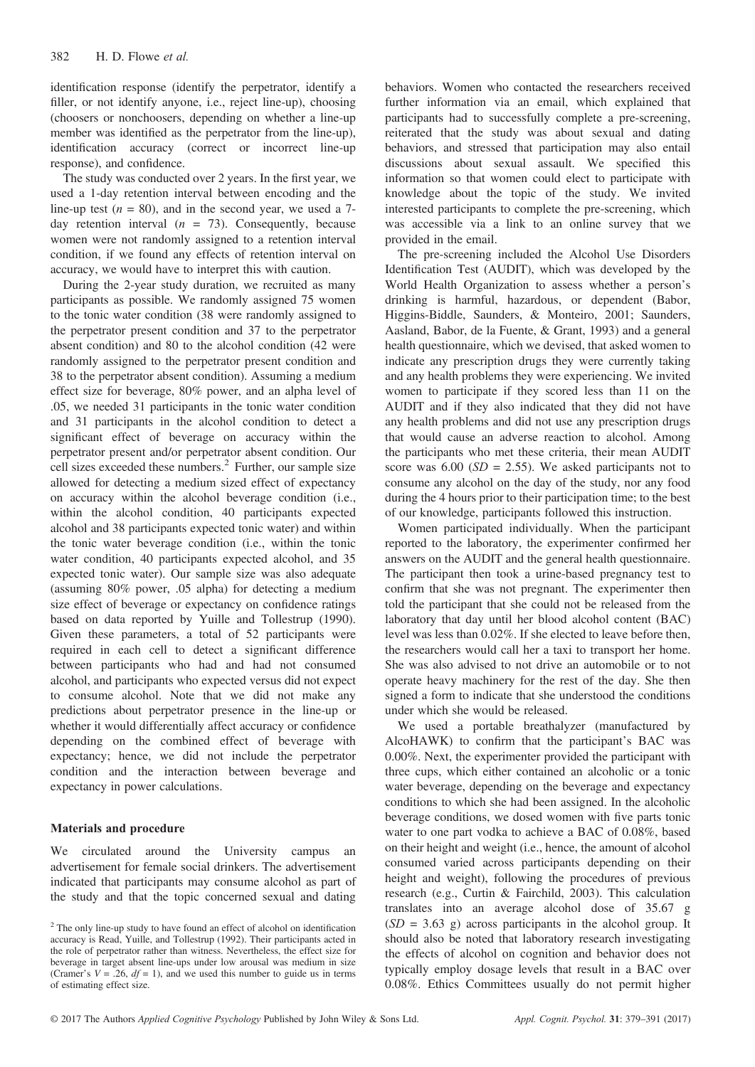identification response (identify the perpetrator, identify a filler, or not identify anyone, i.e., reject line-up), choosing (choosers or nonchoosers, depending on whether a line-up member was identified as the perpetrator from the line-up), identification accuracy (correct or incorrect line-up response), and confidence.

The study was conducted over 2 years. In the first year, we used a 1-day retention interval between encoding and the line-up test ( $n = 80$ ), and in the second year, we used a 7day retention interval  $(n = 73)$ . Consequently, because women were not randomly assigned to a retention interval condition, if we found any effects of retention interval on accuracy, we would have to interpret this with caution.

During the 2-year study duration, we recruited as many participants as possible. We randomly assigned 75 women to the tonic water condition (38 were randomly assigned to the perpetrator present condition and 37 to the perpetrator absent condition) and 80 to the alcohol condition (42 were randomly assigned to the perpetrator present condition and 38 to the perpetrator absent condition). Assuming a medium effect size for beverage, 80% power, and an alpha level of .05, we needed 31 participants in the tonic water condition and 31 participants in the alcohol condition to detect a significant effect of beverage on accuracy within the perpetrator present and/or perpetrator absent condition. Our cell sizes exceeded these numbers.<sup>2</sup> Further, our sample size allowed for detecting a medium sized effect of expectancy on accuracy within the alcohol beverage condition (i.e., within the alcohol condition, 40 participants expected alcohol and 38 participants expected tonic water) and within the tonic water beverage condition (i.e., within the tonic water condition, 40 participants expected alcohol, and 35 expected tonic water). Our sample size was also adequate (assuming 80% power, .05 alpha) for detecting a medium size effect of beverage or expectancy on confidence ratings based on data reported by Yuille and Tollestrup (1990). Given these parameters, a total of 52 participants were required in each cell to detect a significant difference between participants who had and had not consumed alcohol, and participants who expected versus did not expect to consume alcohol. Note that we did not make any predictions about perpetrator presence in the line-up or whether it would differentially affect accuracy or confidence depending on the combined effect of beverage with expectancy; hence, we did not include the perpetrator condition and the interaction between beverage and expectancy in power calculations.

## Materials and procedure

We circulated around the University campus an advertisement for female social drinkers. The advertisement indicated that participants may consume alcohol as part of the study and that the topic concerned sexual and dating behaviors. Women who contacted the researchers received further information via an email, which explained that participants had to successfully complete a pre-screening, reiterated that the study was about sexual and dating behaviors, and stressed that participation may also entail discussions about sexual assault. We specified this information so that women could elect to participate with knowledge about the topic of the study. We invited interested participants to complete the pre-screening, which was accessible via a link to an online survey that we provided in the email.

The pre-screening included the Alcohol Use Disorders Identification Test (AUDIT), which was developed by the World Health Organization to assess whether a person's drinking is harmful, hazardous, or dependent (Babor, Higgins-Biddle, Saunders, & Monteiro, 2001; Saunders, Aasland, Babor, de la Fuente, & Grant, 1993) and a general health questionnaire, which we devised, that asked women to indicate any prescription drugs they were currently taking and any health problems they were experiencing. We invited women to participate if they scored less than 11 on the AUDIT and if they also indicated that they did not have any health problems and did not use any prescription drugs that would cause an adverse reaction to alcohol. Among the participants who met these criteria, their mean AUDIT score was  $6.00$  (SD = 2.55). We asked participants not to consume any alcohol on the day of the study, nor any food during the 4 hours prior to their participation time; to the best of our knowledge, participants followed this instruction.

Women participated individually. When the participant reported to the laboratory, the experimenter confirmed her answers on the AUDIT and the general health questionnaire. The participant then took a urine-based pregnancy test to confirm that she was not pregnant. The experimenter then told the participant that she could not be released from the laboratory that day until her blood alcohol content (BAC) level was less than 0.02%. If she elected to leave before then, the researchers would call her a taxi to transport her home. She was also advised to not drive an automobile or to not operate heavy machinery for the rest of the day. She then signed a form to indicate that she understood the conditions under which she would be released.

We used a portable breathalyzer (manufactured by AlcoHAWK) to confirm that the participant's BAC was 0.00%. Next, the experimenter provided the participant with three cups, which either contained an alcoholic or a tonic water beverage, depending on the beverage and expectancy conditions to which she had been assigned. In the alcoholic beverage conditions, we dosed women with five parts tonic water to one part vodka to achieve a BAC of 0.08%, based on their height and weight (i.e., hence, the amount of alcohol consumed varied across participants depending on their height and weight), following the procedures of previous research (e.g., Curtin & Fairchild, 2003). This calculation translates into an average alcohol dose of 35.67 g  $(SD = 3.63 \text{ g})$  across participants in the alcohol group. It should also be noted that laboratory research investigating the effects of alcohol on cognition and behavior does not typically employ dosage levels that result in a BAC over 0.08%. Ethics Committees usually do not permit higher

<sup>2</sup> The only line-up study to have found an effect of alcohol on identification accuracy is Read, Yuille, and Tollestrup (1992). Their participants acted in the role of perpetrator rather than witness. Nevertheless, the effect size for beverage in target absent line-ups under low arousal was medium in size (Cramer's  $V = .26$ ,  $df = 1$ ), and we used this number to guide us in terms of estimating effect size.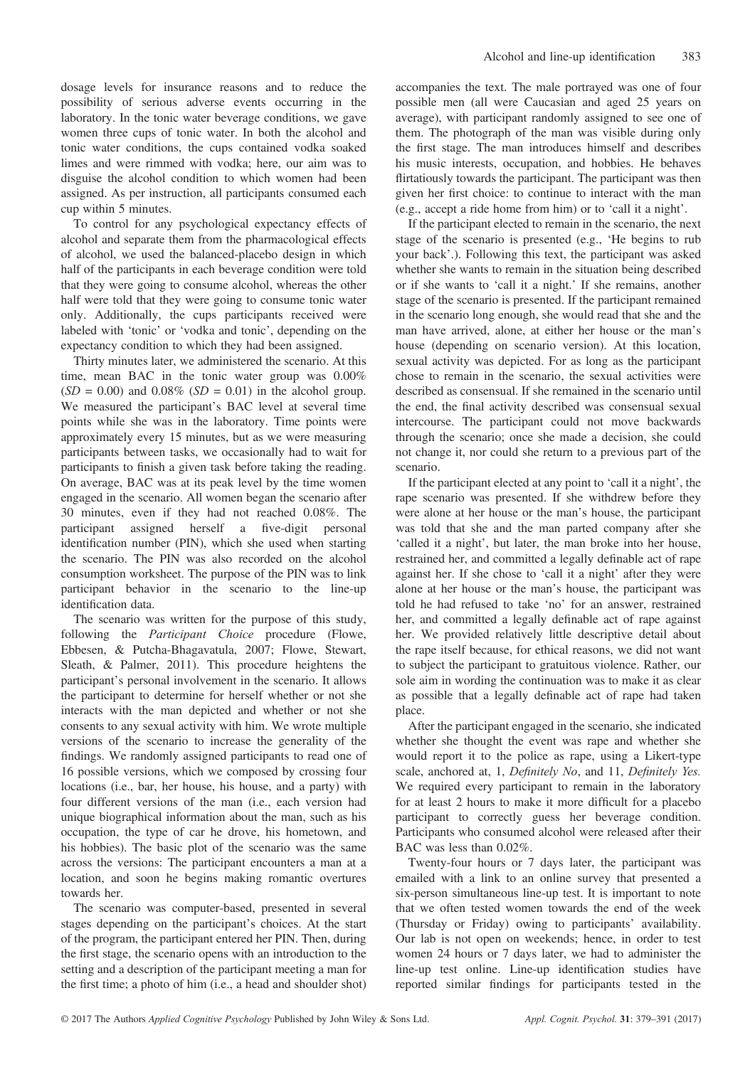dosage levels for insurance reasons and to reduce the possibility of serious adverse events occurring in the laboratory. In the tonic water beverage conditions, we gave women three cups of tonic water. In both the alcohol and tonic water conditions, the cups contained vodka soaked limes and were rimmed with vodka; here, our aim was to disguise the alcohol condition to which women had been assigned. As per instruction, all participants consumed each cup within 5 minutes.

To control for any psychological expectancy effects of alcohol and separate them from the pharmacological effects of alcohol, we used the balanced-placebo design in which half of the participants in each beverage condition were told that they were going to consume alcohol, whereas the other half were told that they were going to consume tonic water only. Additionally, the cups participants received were labeled with 'tonic' or 'vodka and tonic', depending on the expectancy condition to which they had been assigned.

Thirty minutes later, we administered the scenario. At this time, mean BAC in the tonic water group was 0.00%  $(SD = 0.00)$  and  $0.08\%$   $(SD = 0.01)$  in the alcohol group. We measured the participant's BAC level at several time points while she was in the laboratory. Time points were approximately every 15 minutes, but as we were measuring participants between tasks, we occasionally had to wait for participants to finish a given task before taking the reading. On average, BAC was at its peak level by the time women engaged in the scenario. All women began the scenario after 30 minutes, even if they had not reached 0.08%. The participant assigned herself a five-digit personal identification number (PIN), which she used when starting the scenario. The PIN was also recorded on the alcohol consumption worksheet. The purpose of the PIN was to link participant behavior in the scenario to the line-up identification data.

The scenario was written for the purpose of this study, following the *Participant Choice* procedure (Flowe, Ebbesen, & Putcha-Bhagavatula, 2007; Flowe, Stewart, Sleath, & Palmer, 2011). This procedure heightens the participant's personal involvement in the scenario. It allows the participant to determine for herself whether or not she interacts with the man depicted and whether or not she consents to any sexual activity with him. We wrote multiple versions of the scenario to increase the generality of the findings. We randomly assigned participants to read one of 16 possible versions, which we composed by crossing four locations (i.e., bar, her house, his house, and a party) with four different versions of the man (i.e., each version had unique biographical information about the man, such as his occupation, the type of car he drove, his hometown, and his hobbies). The basic plot of the scenario was the same across the versions: The participant encounters a man at a location, and soon he begins making romantic overtures towards her.

The scenario was computer-based, presented in several stages depending on the participant's choices. At the start of the program, the participant entered her PIN. Then, during the first stage, the scenario opens with an introduction to the setting and a description of the participant meeting a man for the first time; a photo of him (i.e., a head and shoulder shot)

accompanies the text. The male portrayed was one of four possible men (all were Caucasian and aged 25 years on average), with participant randomly assigned to see one of them. The photograph of the man was visible during only the first stage. The man introduces himself and describes his music interests, occupation, and hobbies. He behaves flirtatiously towards the participant. The participant was then given her first choice: to continue to interact with the man (e.g., accept a ride home from him) or to 'call it a night'.

If the participant elected to remain in the scenario, the next stage of the scenario is presented (e.g., 'He begins to rub your back'.). Following this text, the participant was asked whether she wants to remain in the situation being described or if she wants to 'call it a night.' If she remains, another stage of the scenario is presented. If the participant remained in the scenario long enough, she would read that she and the man have arrived, alone, at either her house or the man's house (depending on scenario version). At this location, sexual activity was depicted. For as long as the participant chose to remain in the scenario, the sexual activities were described as consensual. If she remained in the scenario until the end, the final activity described was consensual sexual intercourse. The participant could not move backwards through the scenario; once she made a decision, she could not change it, nor could she return to a previous part of the scenario.

If the participant elected at any point to 'call it a night', the rape scenario was presented. If she withdrew before they were alone at her house or the man's house, the participant was told that she and the man parted company after she 'called it a night', but later, the man broke into her house, restrained her, and committed a legally definable act of rape against her. If she chose to 'call it a night' after they were alone at her house or the man's house, the participant was told he had refused to take 'no' for an answer, restrained her, and committed a legally definable act of rape against her. We provided relatively little descriptive detail about the rape itself because, for ethical reasons, we did not want to subject the participant to gratuitous violence. Rather, our sole aim in wording the continuation was to make it as clear as possible that a legally definable act of rape had taken place.

After the participant engaged in the scenario, she indicated whether she thought the event was rape and whether she would report it to the police as rape, using a Likert-type scale, anchored at, 1, Definitely No, and 11, Definitely Yes. We required every participant to remain in the laboratory for at least 2 hours to make it more difficult for a placebo participant to correctly guess her beverage condition. Participants who consumed alcohol were released after their BAC was less than 0.02%.

Twenty-four hours or 7 days later, the participant was emailed with a link to an online survey that presented a six-person simultaneous line-up test. It is important to note that we often tested women towards the end of the week (Thursday or Friday) owing to participants' availability. Our lab is not open on weekends; hence, in order to test women 24 hours or 7 days later, we had to administer the line-up test online. Line-up identification studies have reported similar findings for participants tested in the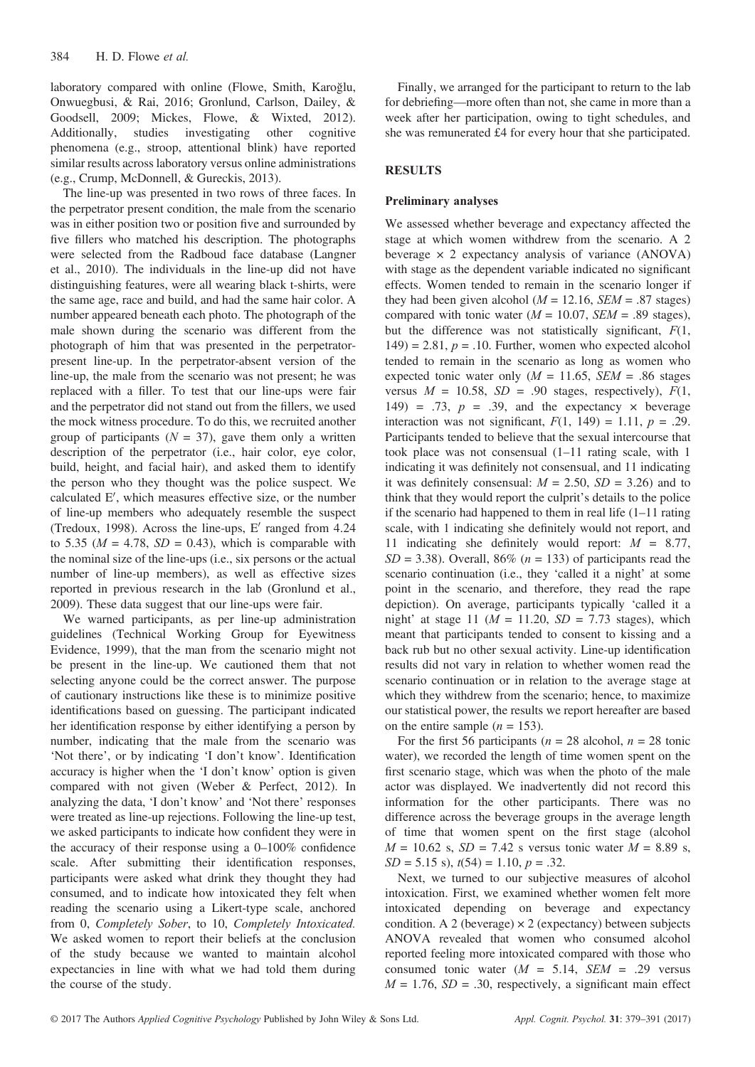laboratory compared with online (Flowe, Smith, Karoğlu, Onwuegbusi, & Rai, 2016; Gronlund, Carlson, Dailey, & Goodsell, 2009; Mickes, Flowe, & Wixted, 2012). Additionally, studies investigating other cognitive phenomena (e.g., stroop, attentional blink) have reported similar results across laboratory versus online administrations (e.g., Crump, McDonnell, & Gureckis, 2013).

The line-up was presented in two rows of three faces. In the perpetrator present condition, the male from the scenario was in either position two or position five and surrounded by five fillers who matched his description. The photographs were selected from the Radboud face database (Langner et al., 2010). The individuals in the line-up did not have distinguishing features, were all wearing black t-shirts, were the same age, race and build, and had the same hair color. A number appeared beneath each photo. The photograph of the male shown during the scenario was different from the photograph of him that was presented in the perpetratorpresent line-up. In the perpetrator-absent version of the line-up, the male from the scenario was not present; he was replaced with a filler. To test that our line-ups were fair and the perpetrator did not stand out from the fillers, we used the mock witness procedure. To do this, we recruited another group of participants ( $N = 37$ ), gave them only a written description of the perpetrator (i.e., hair color, eye color, build, height, and facial hair), and asked them to identify the person who they thought was the police suspect. We calculated  $E'$ , which measures effective size, or the number of line-up members who adequately resemble the suspect (Tredoux, 1998). Across the line-ups,  $E'$  ranged from 4.24 to 5.35 ( $M = 4.78$ ,  $SD = 0.43$ ), which is comparable with the nominal size of the line-ups (i.e., six persons or the actual number of line-up members), as well as effective sizes reported in previous research in the lab (Gronlund et al., 2009). These data suggest that our line-ups were fair.

We warned participants, as per line-up administration guidelines (Technical Working Group for Eyewitness Evidence, 1999), that the man from the scenario might not be present in the line-up. We cautioned them that not selecting anyone could be the correct answer. The purpose of cautionary instructions like these is to minimize positive identifications based on guessing. The participant indicated her identification response by either identifying a person by number, indicating that the male from the scenario was 'Not there', or by indicating 'I don't know'. Identification accuracy is higher when the 'I don't know' option is given compared with not given (Weber & Perfect, 2012). In analyzing the data, 'I don't know' and 'Not there' responses were treated as line-up rejections. Following the line-up test, we asked participants to indicate how confident they were in the accuracy of their response using a 0–100% confidence scale. After submitting their identification responses, participants were asked what drink they thought they had consumed, and to indicate how intoxicated they felt when reading the scenario using a Likert-type scale, anchored from 0, Completely Sober, to 10, Completely Intoxicated. We asked women to report their beliefs at the conclusion of the study because we wanted to maintain alcohol expectancies in line with what we had told them during the course of the study.

Finally, we arranged for the participant to return to the lab for debriefing—more often than not, she came in more than a week after her participation, owing to tight schedules, and she was remunerated £4 for every hour that she participated.

# RESULTS

# Preliminary analyses

We assessed whether beverage and expectancy affected the stage at which women withdrew from the scenario. A 2 beverage  $\times$  2 expectancy analysis of variance (ANOVA) with stage as the dependent variable indicated no significant effects. Women tended to remain in the scenario longer if they had been given alcohol ( $M = 12.16$ ,  $SEM = .87$  stages) compared with tonic water ( $M = 10.07$ ,  $SEM = .89$  stages), but the difference was not statistically significant,  $F(1, 1)$  $149$ ) = 2.81,  $p = .10$ . Further, women who expected alcohol tended to remain in the scenario as long as women who expected tonic water only  $(M = 11.65, SEM = .86$  stages versus  $M = 10.58$ ,  $SD = .90$  stages, respectively),  $F(1, 1)$ 149) = .73,  $p = .39$ , and the expectancy  $\times$  beverage interaction was not significant,  $F(1, 149) = 1.11$ ,  $p = .29$ . Participants tended to believe that the sexual intercourse that took place was not consensual (1–11 rating scale, with 1 indicating it was definitely not consensual, and 11 indicating it was definitely consensual:  $M = 2.50$ ,  $SD = 3.26$ ) and to think that they would report the culprit's details to the police if the scenario had happened to them in real life (1–11 rating scale, with 1 indicating she definitely would not report, and 11 indicating she definitely would report:  $M = 8.77$ ,  $SD = 3.38$ ). Overall, 86% (*n* = 133) of participants read the scenario continuation (i.e., they 'called it a night' at some point in the scenario, and therefore, they read the rape depiction). On average, participants typically 'called it a night' at stage 11 ( $M = 11.20$ ,  $SD = 7.73$  stages), which meant that participants tended to consent to kissing and a back rub but no other sexual activity. Line-up identification results did not vary in relation to whether women read the scenario continuation or in relation to the average stage at which they withdrew from the scenario; hence, to maximize our statistical power, the results we report hereafter are based on the entire sample  $(n = 153)$ .

For the first 56 participants ( $n = 28$  alcohol,  $n = 28$  tonic water), we recorded the length of time women spent on the first scenario stage, which was when the photo of the male actor was displayed. We inadvertently did not record this information for the other participants. There was no difference across the beverage groups in the average length of time that women spent on the first stage (alcohol  $M = 10.62$  s,  $SD = 7.42$  s versus tonic water  $M = 8.89$  s,  $SD = 5.15$  s),  $t(54) = 1.10$ ,  $p = .32$ .

Next, we turned to our subjective measures of alcohol intoxication. First, we examined whether women felt more intoxicated depending on beverage and expectancy condition. A 2 (beverage)  $\times$  2 (expectancy) between subjects ANOVA revealed that women who consumed alcohol reported feeling more intoxicated compared with those who consumed tonic water  $(M = 5.14, SEM = .29$  versus  $M = 1.76$ ,  $SD = .30$ , respectively, a significant main effect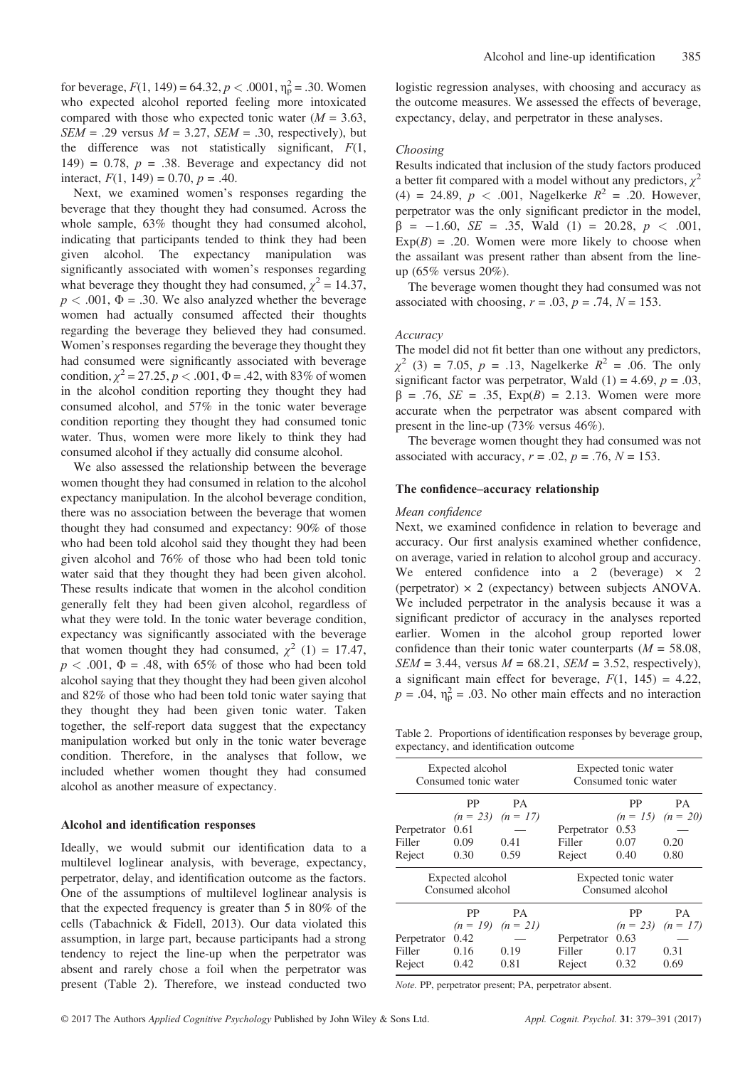for beverage,  $F(1, 149) = 64.32, p < .0001, \eta_{p}^{2} = .30$ . Women who expected alcohol reported feeling more intoxicated compared with those who expected tonic water  $(M = 3.63,$  $SEM = .29$  versus  $M = 3.27$ ,  $SEM = .30$ , respectively), but the difference was not statistically significant,  $F(1)$ , 149) = 0.78,  $p = 0.38$ . Beverage and expectancy did not interact,  $F(1, 149) = 0.70, p = .40$ .

Next, we examined women's responses regarding the beverage that they thought they had consumed. Across the whole sample, 63% thought they had consumed alcohol, indicating that participants tended to think they had been given alcohol. The expectancy manipulation was significantly associated with women's responses regarding what beverage they thought they had consumed,  $\chi^2 = 14.37$ ,  $p < .001$ ,  $\Phi = .30$ . We also analyzed whether the beverage women had actually consumed affected their thoughts regarding the beverage they believed they had consumed. Women's responses regarding the beverage they thought they had consumed were significantly associated with beverage condition,  $\chi^2 = 27.25$ ,  $p < .001$ ,  $\Phi = .42$ , with 83% of women in the alcohol condition reporting they thought they had consumed alcohol, and 57% in the tonic water beverage condition reporting they thought they had consumed tonic water. Thus, women were more likely to think they had consumed alcohol if they actually did consume alcohol.

We also assessed the relationship between the beverage women thought they had consumed in relation to the alcohol expectancy manipulation. In the alcohol beverage condition, there was no association between the beverage that women thought they had consumed and expectancy: 90% of those who had been told alcohol said they thought they had been given alcohol and 76% of those who had been told tonic water said that they thought they had been given alcohol. These results indicate that women in the alcohol condition generally felt they had been given alcohol, regardless of what they were told. In the tonic water beverage condition, expectancy was significantly associated with the beverage that women thought they had consumed,  $\chi^2$  (1) = 17.47,  $p < .001$ ,  $\Phi = .48$ , with 65% of those who had been told alcohol saying that they thought they had been given alcohol and 82% of those who had been told tonic water saying that they thought they had been given tonic water. Taken together, the self-report data suggest that the expectancy manipulation worked but only in the tonic water beverage condition. Therefore, in the analyses that follow, we included whether women thought they had consumed alcohol as another measure of expectancy.

#### Alcohol and identification responses

Ideally, we would submit our identification data to a multilevel loglinear analysis, with beverage, expectancy, perpetrator, delay, and identification outcome as the factors. One of the assumptions of multilevel loglinear analysis is that the expected frequency is greater than 5 in 80% of the cells (Tabachnick & Fidell, 2013). Our data violated this assumption, in large part, because participants had a strong tendency to reject the line-up when the perpetrator was absent and rarely chose a foil when the perpetrator was present (Table 2). Therefore, we instead conducted two logistic regression analyses, with choosing and accuracy as the outcome measures. We assessed the effects of beverage, expectancy, delay, and perpetrator in these analyses.

#### Choosing

Results indicated that inclusion of the study factors produced a better fit compared with a model without any predictors,  $\chi^2$ (4) = 24.89,  $p < .001$ , Nagelkerke  $R^2 = .20$ . However, perpetrator was the only significant predictor in the model,  $\beta = -1.60, \ \nSE = .35, \ \nWald \ (1) = 20.28, \ p < .001,$  $Exp(B) = .20$ . Women were more likely to choose when the assailant was present rather than absent from the lineup (65% versus 20%).

The beverage women thought they had consumed was not associated with choosing,  $r = .03$ ,  $p = .74$ ,  $N = 153$ .

#### Accuracy

The model did not fit better than one without any predictors,  $\chi^2$  (3) = 7.05, p = .13, Nagelkerke  $R^2$  = .06. The only significant factor was perpetrator, Wald  $(1) = 4.69$ ,  $p = .03$ ,  $β = .76$ ,  $SE = .35$ ,  $Exp(B) = 2.13$ . Women were more accurate when the perpetrator was absent compared with present in the line-up (73% versus 46%).

The beverage women thought they had consumed was not associated with accuracy,  $r = .02$ ,  $p = .76$ ,  $N = 153$ .

#### The confidence–accuracy relationship

#### Mean confidence

Next, we examined confidence in relation to beverage and accuracy. Our first analysis examined whether confidence, on average, varied in relation to alcohol group and accuracy. We entered confidence into a 2 (beverage)  $\times$  2 (perpetrator) × 2 (expectancy) between subjects ANOVA. We included perpetrator in the analysis because it was a significant predictor of accuracy in the analyses reported earlier. Women in the alcohol group reported lower confidence than their tonic water counterparts  $(M = 58.08,$  $SEM = 3.44$ , versus  $M = 68.21$ ,  $SEM = 3.52$ , respectively), a significant main effect for beverage,  $F(1, 145) = 4.22$ ,  $p = .04$ ,  $\eta_p^2 = .03$ . No other main effects and no interaction

Table 2. Proportions of identification responses by beverage group, expectancy, and identification outcome

|                                 | Expected alcohol<br>Consumed tonic water |                                                    | Expected tonic water<br>Consumed tonic water |                                                 |                                                    |  |  |
|---------------------------------|------------------------------------------|----------------------------------------------------|----------------------------------------------|-------------------------------------------------|----------------------------------------------------|--|--|
| Perpetrator<br>Filler<br>Reject | <b>PP</b><br>0.61<br>0.09<br>0.30        | <b>PA</b><br>$(n = 23)$ $(n = 17)$<br>0.41<br>0.59 | Perpetrator<br>Filler<br>Reject              | <b>PP</b><br>$(n = 15)$<br>0.53<br>0.07<br>0.40 | <b>PA</b><br>$(n = 20)$<br>0.20<br>0.80            |  |  |
|                                 | Expected alcohol<br>Consumed alcohol     |                                                    | Expected tonic water<br>Consumed alcohol     |                                                 |                                                    |  |  |
| Perpetrator<br>Filler<br>Reject | <b>PP</b><br>0.42<br>0.16<br>0.42        | <b>PA</b><br>$(n = 19)$ $(n = 21)$<br>0.19<br>0.81 | Perpetrator<br>Filler<br>Reject              | PP<br>0.63<br>0.17<br>0.32                      | <b>PA</b><br>$(n = 23)$ $(n = 17)$<br>0.31<br>0.69 |  |  |

Note. PP, perpetrator present; PA, perpetrator absent.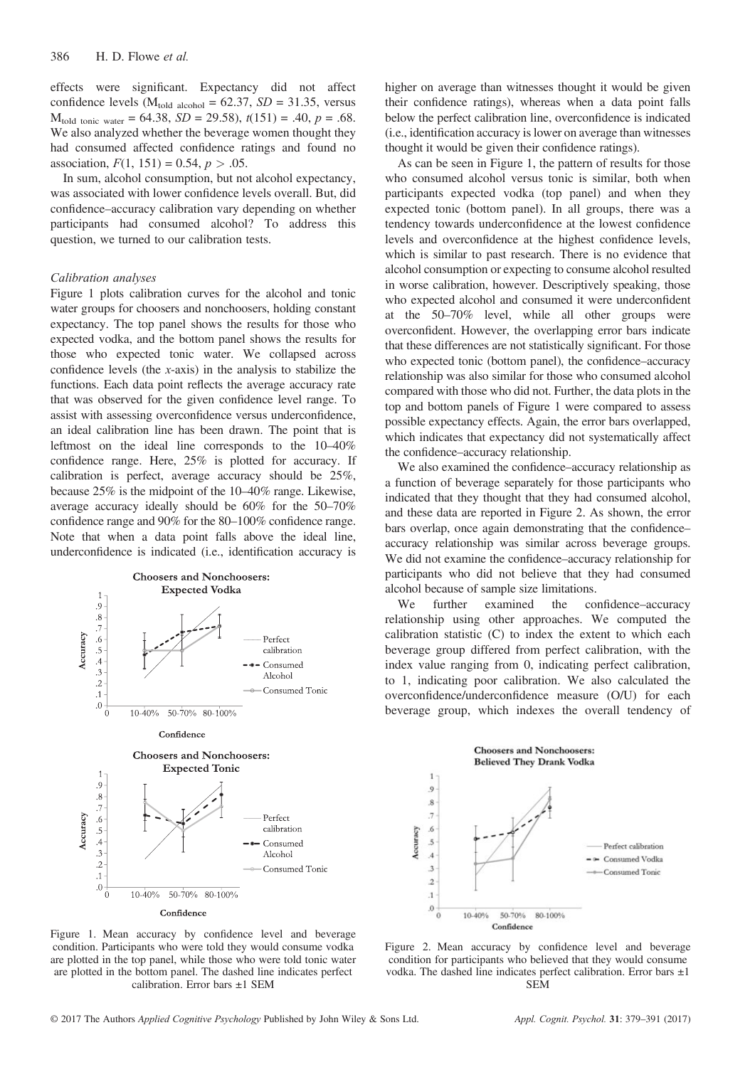effects were significant. Expectancy did not affect confidence levels ( $M_{\text{told alcohol}} = 62.37$ ,  $SD = 31.35$ , versus  $M_{\text{told tonic water}} = 64.38, SD = 29.58, t(151) = .40, p = .68.$ We also analyzed whether the beverage women thought they had consumed affected confidence ratings and found no association,  $F(1, 151) = 0.54$ ,  $p > .05$ .

In sum, alcohol consumption, but not alcohol expectancy, was associated with lower confidence levels overall. But, did confidence–accuracy calibration vary depending on whether participants had consumed alcohol? To address this question, we turned to our calibration tests.

### Calibration analyses

Figure 1 plots calibration curves for the alcohol and tonic water groups for choosers and nonchoosers, holding constant expectancy. The top panel shows the results for those who expected vodka, and the bottom panel shows the results for those who expected tonic water. We collapsed across confidence levels (the x-axis) in the analysis to stabilize the functions. Each data point reflects the average accuracy rate that was observed for the given confidence level range. To assist with assessing overconfidence versus underconfidence, an ideal calibration line has been drawn. The point that is leftmost on the ideal line corresponds to the 10–40% confidence range. Here, 25% is plotted for accuracy. If calibration is perfect, average accuracy should be 25%, because 25% is the midpoint of the 10–40% range. Likewise, average accuracy ideally should be 60% for the 50–70% confidence range and 90% for the 80–100% confidence range. Note that when a data point falls above the ideal line, underconfidence is indicated (i.e., identification accuracy is



Figure 1. Mean accuracy by confidence level and beverage condition. Participants who were told they would consume vodka are plotted in the top panel, while those who were told tonic water are plotted in the bottom panel. The dashed line indicates perfect calibration. Error bars ±1 SEM

higher on average than witnesses thought it would be given their confidence ratings), whereas when a data point falls below the perfect calibration line, overconfidence is indicated (i.e., identification accuracy is lower on average than witnesses thought it would be given their confidence ratings).

As can be seen in Figure 1, the pattern of results for those who consumed alcohol versus tonic is similar, both when participants expected vodka (top panel) and when they expected tonic (bottom panel). In all groups, there was a tendency towards underconfidence at the lowest confidence levels and overconfidence at the highest confidence levels, which is similar to past research. There is no evidence that alcohol consumption or expecting to consume alcohol resulted in worse calibration, however. Descriptively speaking, those who expected alcohol and consumed it were underconfident at the 50–70% level, while all other groups were overconfident. However, the overlapping error bars indicate that these differences are not statistically significant. For those who expected tonic (bottom panel), the confidence–accuracy relationship was also similar for those who consumed alcohol compared with those who did not. Further, the data plots in the top and bottom panels of Figure 1 were compared to assess possible expectancy effects. Again, the error bars overlapped, which indicates that expectancy did not systematically affect the confidence–accuracy relationship.

We also examined the confidence–accuracy relationship as a function of beverage separately for those participants who indicated that they thought that they had consumed alcohol, and these data are reported in Figure 2. As shown, the error bars overlap, once again demonstrating that the confidence– accuracy relationship was similar across beverage groups. We did not examine the confidence–accuracy relationship for participants who did not believe that they had consumed alcohol because of sample size limitations.

We further examined the confidence–accuracy relationship using other approaches. We computed the calibration statistic (C) to index the extent to which each beverage group differed from perfect calibration, with the index value ranging from 0, indicating perfect calibration, to 1, indicating poor calibration. We also calculated the overconfidence/underconfidence measure (O/U) for each beverage group, which indexes the overall tendency of



Figure 2. Mean accuracy by confidence level and beverage condition for participants who believed that they would consume vodka. The dashed line indicates perfect calibration. Error bars ±1 SEM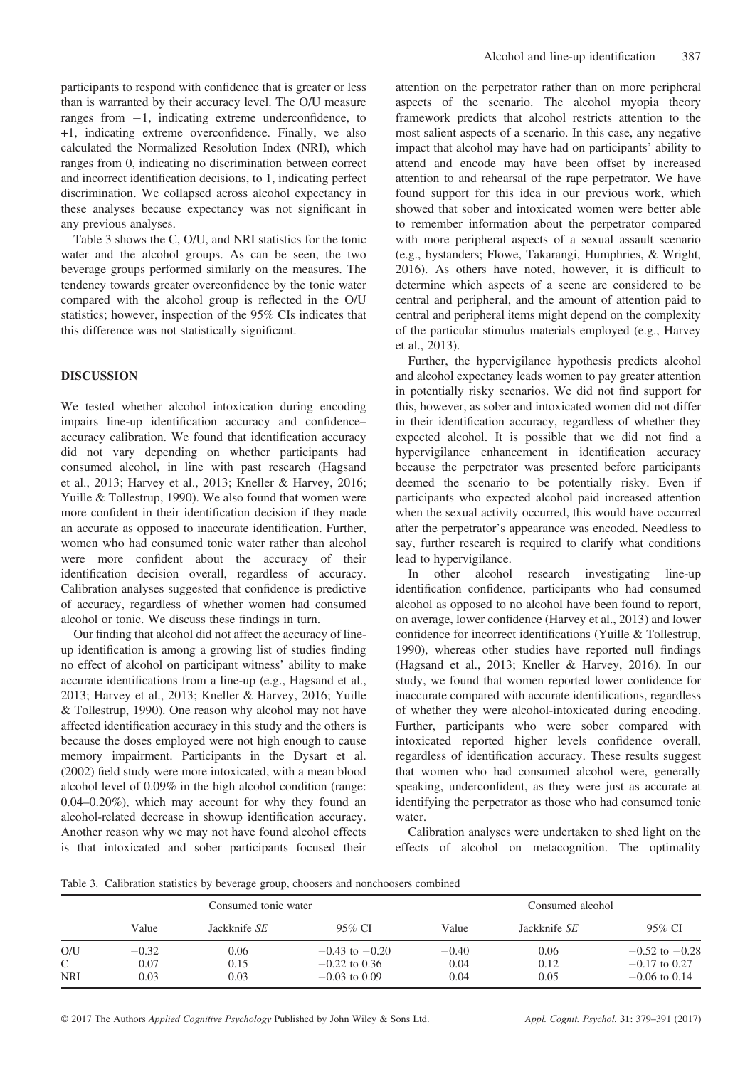participants to respond with confidence that is greater or less than is warranted by their accuracy level. The O/U measure ranges from  $-1$ , indicating extreme underconfidence, to +1, indicating extreme overconfidence. Finally, we also calculated the Normalized Resolution Index (NRI), which ranges from 0, indicating no discrimination between correct and incorrect identification decisions, to 1, indicating perfect discrimination. We collapsed across alcohol expectancy in these analyses because expectancy was not significant in any previous analyses.

Table 3 shows the C, O/U, and NRI statistics for the tonic water and the alcohol groups. As can be seen, the two beverage groups performed similarly on the measures. The tendency towards greater overconfidence by the tonic water compared with the alcohol group is reflected in the O/U statistics; however, inspection of the 95% CIs indicates that this difference was not statistically significant.

#### DISCUSSION

We tested whether alcohol intoxication during encoding impairs line-up identification accuracy and confidence– accuracy calibration. We found that identification accuracy did not vary depending on whether participants had consumed alcohol, in line with past research (Hagsand et al., 2013; Harvey et al., 2013; Kneller & Harvey, 2016; Yuille & Tollestrup, 1990). We also found that women were more confident in their identification decision if they made an accurate as opposed to inaccurate identification. Further, women who had consumed tonic water rather than alcohol were more confident about the accuracy of their identification decision overall, regardless of accuracy. Calibration analyses suggested that confidence is predictive of accuracy, regardless of whether women had consumed alcohol or tonic. We discuss these findings in turn.

Our finding that alcohol did not affect the accuracy of lineup identification is among a growing list of studies finding no effect of alcohol on participant witness' ability to make accurate identifications from a line-up (e.g., Hagsand et al., 2013; Harvey et al., 2013; Kneller & Harvey, 2016; Yuille & Tollestrup, 1990). One reason why alcohol may not have affected identification accuracy in this study and the others is because the doses employed were not high enough to cause memory impairment. Participants in the Dysart et al. (2002) field study were more intoxicated, with a mean blood alcohol level of 0.09% in the high alcohol condition (range: 0.04–0.20%), which may account for why they found an alcohol-related decrease in showup identification accuracy. Another reason why we may not have found alcohol effects is that intoxicated and sober participants focused their

attention on the perpetrator rather than on more peripheral aspects of the scenario. The alcohol myopia theory framework predicts that alcohol restricts attention to the most salient aspects of a scenario. In this case, any negative impact that alcohol may have had on participants' ability to attend and encode may have been offset by increased attention to and rehearsal of the rape perpetrator. We have found support for this idea in our previous work, which showed that sober and intoxicated women were better able to remember information about the perpetrator compared with more peripheral aspects of a sexual assault scenario (e.g., bystanders; Flowe, Takarangi, Humphries, & Wright, 2016). As others have noted, however, it is difficult to determine which aspects of a scene are considered to be central and peripheral, and the amount of attention paid to central and peripheral items might depend on the complexity of the particular stimulus materials employed (e.g., Harvey et al., 2013).

Further, the hypervigilance hypothesis predicts alcohol and alcohol expectancy leads women to pay greater attention in potentially risky scenarios. We did not find support for this, however, as sober and intoxicated women did not differ in their identification accuracy, regardless of whether they expected alcohol. It is possible that we did not find a hypervigilance enhancement in identification accuracy because the perpetrator was presented before participants deemed the scenario to be potentially risky. Even if participants who expected alcohol paid increased attention when the sexual activity occurred, this would have occurred after the perpetrator's appearance was encoded. Needless to say, further research is required to clarify what conditions lead to hypervigilance.

In other alcohol research investigating line-up identification confidence, participants who had consumed alcohol as opposed to no alcohol have been found to report, on average, lower confidence (Harvey et al., 2013) and lower confidence for incorrect identifications (Yuille & Tollestrup, 1990), whereas other studies have reported null findings (Hagsand et al., 2013; Kneller & Harvey, 2016). In our study, we found that women reported lower confidence for inaccurate compared with accurate identifications, regardless of whether they were alcohol-intoxicated during encoding. Further, participants who were sober compared with intoxicated reported higher levels confidence overall, regardless of identification accuracy. These results suggest that women who had consumed alcohol were, generally speaking, underconfident, as they were just as accurate at identifying the perpetrator as those who had consumed tonic water.

Calibration analyses were undertaken to shed light on the effects of alcohol on metacognition. The optimality

Table 3. Calibration statistics by beverage group, choosers and nonchoosers combined

|                      |                 | Consumed tonic water |                                       | Consumed alcohol |              |                                       |  |
|----------------------|-----------------|----------------------|---------------------------------------|------------------|--------------|---------------------------------------|--|
|                      | Value           | Jackknife SE         | 95% CI                                | Value            | Jackknife SE | 95% CI                                |  |
| O/U<br>$\mathcal{C}$ | $-0.32$<br>0.07 | 0.06<br>0.15         | $-0.43$ to $-0.20$<br>$-0.22$ to 0.36 | $-0.40$<br>0.04  | 0.06<br>0.12 | $-0.52$ to $-0.28$<br>$-0.17$ to 0.27 |  |
| <b>NRI</b>           | 0.03            | 0.03                 | $-0.03$ to 0.09                       | 0.04             | 0.05         | $-0.06$ to 0.14                       |  |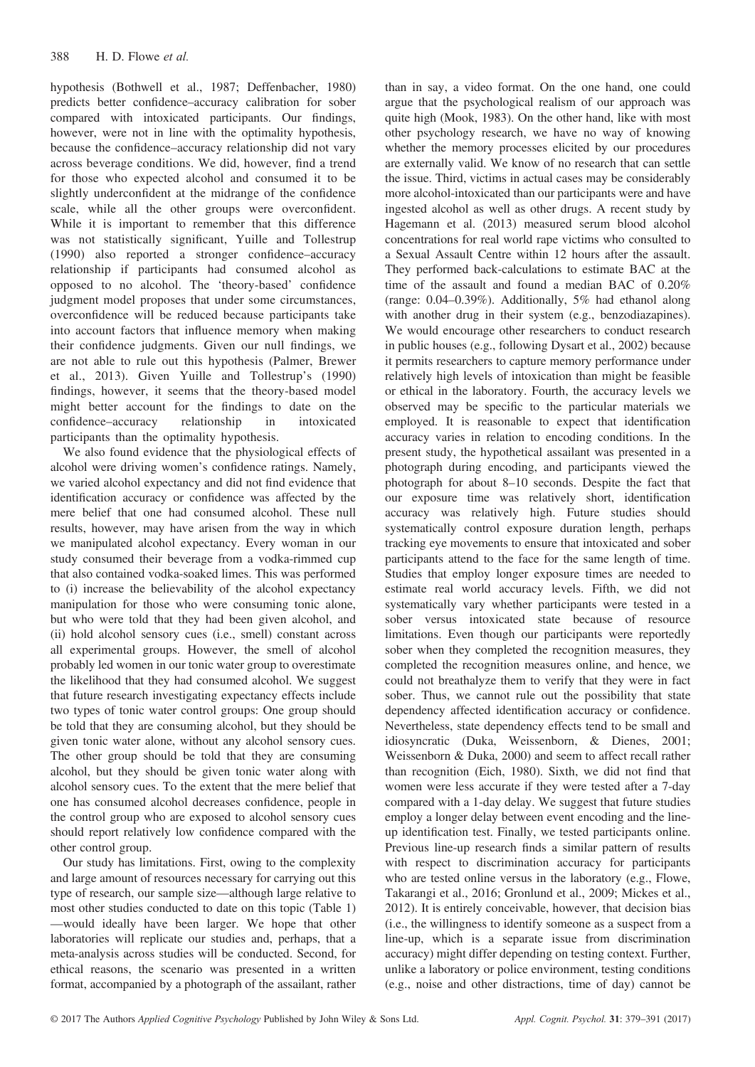hypothesis (Bothwell et al., 1987; Deffenbacher, 1980) predicts better confidence–accuracy calibration for sober compared with intoxicated participants. Our findings, however, were not in line with the optimality hypothesis, because the confidence–accuracy relationship did not vary across beverage conditions. We did, however, find a trend for those who expected alcohol and consumed it to be slightly underconfident at the midrange of the confidence scale, while all the other groups were overconfident. While it is important to remember that this difference was not statistically significant, Yuille and Tollestrup (1990) also reported a stronger confidence–accuracy relationship if participants had consumed alcohol as opposed to no alcohol. The 'theory-based' confidence judgment model proposes that under some circumstances, overconfidence will be reduced because participants take into account factors that influence memory when making their confidence judgments. Given our null findings, we are not able to rule out this hypothesis (Palmer, Brewer et al., 2013). Given Yuille and Tollestrup's (1990) findings, however, it seems that the theory-based model might better account for the findings to date on the confidence–accuracy relationship in intoxicated participants than the optimality hypothesis.

We also found evidence that the physiological effects of alcohol were driving women's confidence ratings. Namely, we varied alcohol expectancy and did not find evidence that identification accuracy or confidence was affected by the mere belief that one had consumed alcohol. These null results, however, may have arisen from the way in which we manipulated alcohol expectancy. Every woman in our study consumed their beverage from a vodka-rimmed cup that also contained vodka-soaked limes. This was performed to (i) increase the believability of the alcohol expectancy manipulation for those who were consuming tonic alone, but who were told that they had been given alcohol, and (ii) hold alcohol sensory cues (i.e., smell) constant across all experimental groups. However, the smell of alcohol probably led women in our tonic water group to overestimate the likelihood that they had consumed alcohol. We suggest that future research investigating expectancy effects include two types of tonic water control groups: One group should be told that they are consuming alcohol, but they should be given tonic water alone, without any alcohol sensory cues. The other group should be told that they are consuming alcohol, but they should be given tonic water along with alcohol sensory cues. To the extent that the mere belief that one has consumed alcohol decreases confidence, people in the control group who are exposed to alcohol sensory cues should report relatively low confidence compared with the other control group.

Our study has limitations. First, owing to the complexity and large amount of resources necessary for carrying out this type of research, our sample size—although large relative to most other studies conducted to date on this topic (Table 1) —would ideally have been larger. We hope that other laboratories will replicate our studies and, perhaps, that a meta-analysis across studies will be conducted. Second, for ethical reasons, the scenario was presented in a written format, accompanied by a photograph of the assailant, rather than in say, a video format. On the one hand, one could argue that the psychological realism of our approach was quite high (Mook, 1983). On the other hand, like with most other psychology research, we have no way of knowing whether the memory processes elicited by our procedures are externally valid. We know of no research that can settle the issue. Third, victims in actual cases may be considerably more alcohol-intoxicated than our participants were and have ingested alcohol as well as other drugs. A recent study by Hagemann et al. (2013) measured serum blood alcohol concentrations for real world rape victims who consulted to a Sexual Assault Centre within 12 hours after the assault. They performed back-calculations to estimate BAC at the time of the assault and found a median BAC of 0.20% (range: 0.04–0.39%). Additionally, 5% had ethanol along with another drug in their system (e.g., benzodiazapines). We would encourage other researchers to conduct research in public houses (e.g., following Dysart et al., 2002) because it permits researchers to capture memory performance under relatively high levels of intoxication than might be feasible or ethical in the laboratory. Fourth, the accuracy levels we observed may be specific to the particular materials we employed. It is reasonable to expect that identification accuracy varies in relation to encoding conditions. In the present study, the hypothetical assailant was presented in a photograph during encoding, and participants viewed the photograph for about 8–10 seconds. Despite the fact that our exposure time was relatively short, identification accuracy was relatively high. Future studies should systematically control exposure duration length, perhaps tracking eye movements to ensure that intoxicated and sober participants attend to the face for the same length of time. Studies that employ longer exposure times are needed to estimate real world accuracy levels. Fifth, we did not systematically vary whether participants were tested in a sober versus intoxicated state because of resource limitations. Even though our participants were reportedly sober when they completed the recognition measures, they completed the recognition measures online, and hence, we could not breathalyze them to verify that they were in fact sober. Thus, we cannot rule out the possibility that state dependency affected identification accuracy or confidence. Nevertheless, state dependency effects tend to be small and idiosyncratic (Duka, Weissenborn, & Dienes, 2001; Weissenborn & Duka, 2000) and seem to affect recall rather than recognition (Eich, 1980). Sixth, we did not find that women were less accurate if they were tested after a 7-day compared with a 1-day delay. We suggest that future studies employ a longer delay between event encoding and the lineup identification test. Finally, we tested participants online. Previous line-up research finds a similar pattern of results with respect to discrimination accuracy for participants who are tested online versus in the laboratory (e.g., Flowe, Takarangi et al., 2016; Gronlund et al., 2009; Mickes et al., 2012). It is entirely conceivable, however, that decision bias (i.e., the willingness to identify someone as a suspect from a line-up, which is a separate issue from discrimination accuracy) might differ depending on testing context. Further, unlike a laboratory or police environment, testing conditions (e.g., noise and other distractions, time of day) cannot be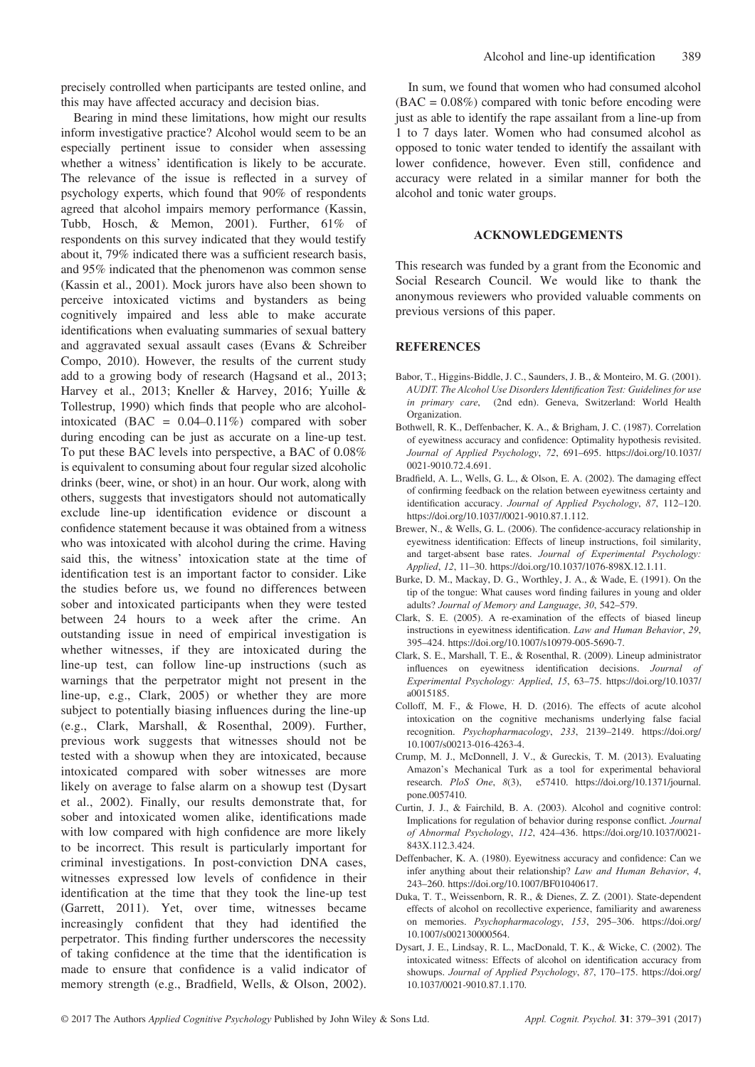precisely controlled when participants are tested online, and this may have affected accuracy and decision bias.

Bearing in mind these limitations, how might our results inform investigative practice? Alcohol would seem to be an especially pertinent issue to consider when assessing whether a witness' identification is likely to be accurate. The relevance of the issue is reflected in a survey of psychology experts, which found that 90% of respondents agreed that alcohol impairs memory performance (Kassin, Tubb, Hosch, & Memon, 2001). Further, 61% of respondents on this survey indicated that they would testify about it, 79% indicated there was a sufficient research basis, and 95% indicated that the phenomenon was common sense (Kassin et al., 2001). Mock jurors have also been shown to perceive intoxicated victims and bystanders as being cognitively impaired and less able to make accurate identifications when evaluating summaries of sexual battery and aggravated sexual assault cases (Evans & Schreiber Compo, 2010). However, the results of the current study add to a growing body of research (Hagsand et al., 2013; Harvey et al., 2013; Kneller & Harvey, 2016; Yuille & Tollestrup, 1990) which finds that people who are alcoholintoxicated (BAC =  $0.04 - 0.11\%$ ) compared with sober during encoding can be just as accurate on a line-up test. To put these BAC levels into perspective, a BAC of 0.08% is equivalent to consuming about four regular sized alcoholic drinks (beer, wine, or shot) in an hour. Our work, along with others, suggests that investigators should not automatically exclude line-up identification evidence or discount a confidence statement because it was obtained from a witness who was intoxicated with alcohol during the crime. Having said this, the witness' intoxication state at the time of identification test is an important factor to consider. Like the studies before us, we found no differences between sober and intoxicated participants when they were tested between 24 hours to a week after the crime. An outstanding issue in need of empirical investigation is whether witnesses, if they are intoxicated during the line-up test, can follow line-up instructions (such as warnings that the perpetrator might not present in the line-up, e.g., Clark, 2005) or whether they are more subject to potentially biasing influences during the line-up (e.g., Clark, Marshall, & Rosenthal, 2009). Further, previous work suggests that witnesses should not be tested with a showup when they are intoxicated, because intoxicated compared with sober witnesses are more likely on average to false alarm on a showup test (Dysart et al., 2002). Finally, our results demonstrate that, for sober and intoxicated women alike, identifications made with low compared with high confidence are more likely to be incorrect. This result is particularly important for criminal investigations. In post-conviction DNA cases, witnesses expressed low levels of confidence in their identification at the time that they took the line-up test (Garrett, 2011). Yet, over time, witnesses became increasingly confident that they had identified the perpetrator. This finding further underscores the necessity of taking confidence at the time that the identification is made to ensure that confidence is a valid indicator of memory strength (e.g., Bradfield, Wells, & Olson, 2002).

In sum, we found that women who had consumed alcohol  $(BAC = 0.08\%)$  compared with tonic before encoding were just as able to identify the rape assailant from a line-up from 1 to 7 days later. Women who had consumed alcohol as opposed to tonic water tended to identify the assailant with lower confidence, however. Even still, confidence and accuracy were related in a similar manner for both the alcohol and tonic water groups.

#### ACKNOWLEDGEMENTS

This research was funded by a grant from the Economic and Social Research Council. We would like to thank the anonymous reviewers who provided valuable comments on previous versions of this paper.

#### **REFERENCES**

- Babor, T., Higgins-Biddle, J. C., Saunders, J. B., & Monteiro, M. G. (2001). AUDIT. The Alcohol Use Disorders Identification Test: Guidelines for use in primary care, (2nd edn). Geneva, Switzerland: World Health Organization.
- Bothwell, R. K., Deffenbacher, K. A., & Brigham, J. C. (1987). Correlation of eyewitness accuracy and confidence: Optimality hypothesis revisited. Journal of Applied Psychology, 72, 691–695. [https://doi.org/10.1037/](https://doi.org/10.1037/0021-9010.72.4.691) [0021-9010.72.4.691](https://doi.org/10.1037/0021-9010.72.4.691).
- Bradfield, A. L., Wells, G. L., & Olson, E. A. (2002). The damaging effect of confirming feedback on the relation between eyewitness certainty and identification accuracy. Journal of Applied Psychology, 87, 112–120. <https://doi.org/10.1037//0021-9010.87.1.112>.
- Brewer, N., & Wells, G. L. (2006). The confidence-accuracy relationship in eyewitness identification: Effects of lineup instructions, foil similarity, and target-absent base rates. Journal of Experimental Psychology: Applied, 12, 11–30. [https://doi.org/10.1037/1076-898X.12.1.11.](https://doi.org/10.1037/1076-898X.12.1.11)
- Burke, D. M., Mackay, D. G., Worthley, J. A., & Wade, E. (1991). On the tip of the tongue: What causes word finding failures in young and older adults? Journal of Memory and Language, 30, 542–579.
- Clark, S. E. (2005). A re-examination of the effects of biased lineup instructions in eyewitness identification. Law and Human Behavior, 29, 395–424. [https://doi.org/10.1007/s10979-005-5690-7.](https://doi.org/10.1007/s10979-005-5690-7)
- Clark, S. E., Marshall, T. E., & Rosenthal, R. (2009). Lineup administrator influences on eyewitness identification decisions. Journal of Experimental Psychology: Applied, 15, 63–75. [https://doi.org/10.1037/](https://doi.org/10.1037/a0015185) [a0015185](https://doi.org/10.1037/a0015185).
- Colloff, M. F., & Flowe, H. D. (2016). The effects of acute alcohol intoxication on the cognitive mechanisms underlying false facial recognition. Psychopharmacology, 233, 2139–2149. [https://doi.org/](https://doi.org/10.1007/s00213-016-4263-4) [10.1007/s00213-016-4263-4.](https://doi.org/10.1007/s00213-016-4263-4)
- Crump, M. J., McDonnell, J. V., & Gureckis, T. M. (2013). Evaluating Amazon's Mechanical Turk as a tool for experimental behavioral research. PloS One, 8(3), e57410. [https://doi.org/10.1371/journal.](https://doi.org/10.1371/journal.pone.0057410) [pone.0057410](https://doi.org/10.1371/journal.pone.0057410).
- Curtin, J. J., & Fairchild, B. A. (2003). Alcohol and cognitive control: Implications for regulation of behavior during response conflict. Journal of Abnormal Psychology, 112, 424–436. [https://doi.org/10.1037/0021-](https://doi.org/10.1037/0021-843X.112.3.424) [843X.112.3.424.](https://doi.org/10.1037/0021-843X.112.3.424)
- Deffenbacher, K. A. (1980). Eyewitness accuracy and confidence: Can we infer anything about their relationship? Law and Human Behavior, 4, 243–260. [https://doi.org/10.1007/BF01040617.](https://doi.org/10.1007/BF01040617)
- Duka, T. T., Weissenborn, R. R., & Dienes, Z. Z. (2001). State-dependent effects of alcohol on recollective experience, familiarity and awareness on memories. Psychopharmacology, 153, 295–306. [https://doi.org/](https://doi.org/10.1007/s002130000564) [10.1007/s002130000564](https://doi.org/10.1007/s002130000564).
- Dysart, J. E., Lindsay, R. L., MacDonald, T. K., & Wicke, C. (2002). The intoxicated witness: Effects of alcohol on identification accuracy from showups. Journal of Applied Psychology, 87, 170–175. [https://doi.org/](https://doi.org/10.1037/0021-9010.87.1.170) [10.1037/0021-9010.87.1.170](https://doi.org/10.1037/0021-9010.87.1.170).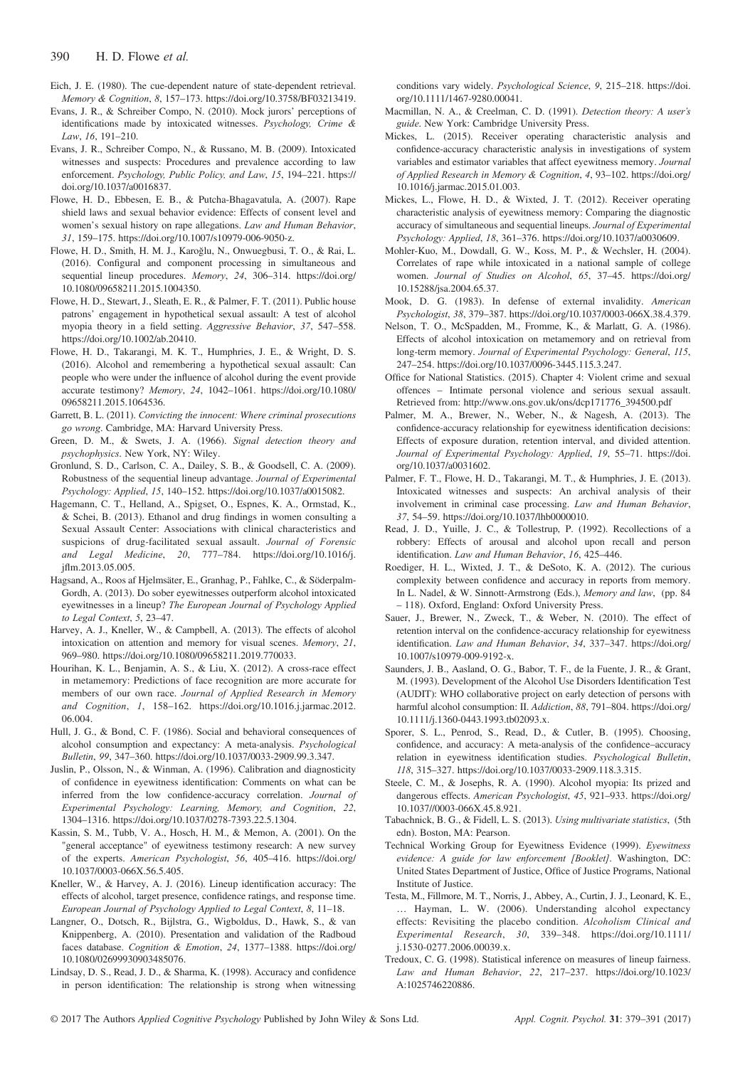- Eich, J. E. (1980). The cue-dependent nature of state-dependent retrieval. Memory & Cognition, 8, 157–173. [https://doi.org/10.3758/BF03213419.](https://doi.org/10.3758/BF03213419)
- Evans, J. R., & Schreiber Compo, N. (2010). Mock jurors' perceptions of identifications made by intoxicated witnesses. Psychology, Crime &  $Law$ , 16, 191–210.
- Evans, J. R., Schreiber Compo, N., & Russano, M. B. (2009). Intoxicated witnesses and suspects: Procedures and prevalence according to law enforcement. Psychology, Public Policy, and Law, 15, 194–221. [https://](https://doi.org/10.1037/a0016837) [doi.org/10.1037/a0016837](https://doi.org/10.1037/a0016837).
- Flowe, H. D., Ebbesen, E. B., & Putcha-Bhagavatula, A. (2007). Rape shield laws and sexual behavior evidence: Effects of consent level and women's sexual history on rape allegations. Law and Human Behavior, 31, 159–175.<https://doi.org/10.1007/s10979-006-9050-z>.
- Flowe, H. D., Smith, H. M. J., Karoğlu, N., Onwuegbusi, T. O., & Rai, L. (2016). Configural and component processing in simultaneous and sequential lineup procedures. Memory, 24, 306-314. [https://doi.org/](https://doi.org/10.1080/09658211.2015.1004350) [10.1080/09658211.2015.1004350.](https://doi.org/10.1080/09658211.2015.1004350)
- Flowe, H. D., Stewart, J., Sleath, E. R., & Palmer, F. T. (2011). Public house patrons' engagement in hypothetical sexual assault: A test of alcohol myopia theory in a field setting. Aggressive Behavior, 37, 547–558. [https://doi.org/10.1002/ab.20410.](https://doi.org/10.1002/ab.20410)
- Flowe, H. D., Takarangi, M. K. T., Humphries, J. E., & Wright, D. S. (2016). Alcohol and remembering a hypothetical sexual assault: Can people who were under the influence of alcohol during the event provide accurate testimony? Memory, 24, 1042–1061. [https://doi.org/10.1080/](https://doi.org/10.1080/09658211.2015.1064536) [09658211.2015.1064536.](https://doi.org/10.1080/09658211.2015.1064536)
- Garrett, B. L. (2011). Convicting the innocent: Where criminal prosecutions go wrong. Cambridge, MA: Harvard University Press.
- Green, D. M., & Swets, J. A. (1966). Signal detection theory and psychophysics. New York, NY: Wiley.
- Gronlund, S. D., Carlson, C. A., Dailey, S. B., & Goodsell, C. A. (2009). Robustness of the sequential lineup advantage. Journal of Experimental Psychology: Applied, 15, 140–152.<https://doi.org/10.1037/a0015082>.
- Hagemann, C. T., Helland, A., Spigset, O., Espnes, K. A., Ormstad, K., & Schei, B. (2013). Ethanol and drug findings in women consulting a Sexual Assault Center: Associations with clinical characteristics and suspicions of drug-facilitated sexual assault. Journal of Forensic and Legal Medicine, 20, 777–784. [https://doi.org/10.1016/j.](https://doi.org/10.1016/j.jflm.2013.05.005) jfl[m.2013.05.005.](https://doi.org/10.1016/j.jflm.2013.05.005)
- Hagsand, A., Roos af Hjelmsäter, E., Granhag, P., Fahlke, C., & Söderpalm-Gordh, A. (2013). Do sober eyewitnesses outperform alcohol intoxicated eyewitnesses in a lineup? The European Journal of Psychology Applied to Legal Context, 5, 23–47.
- Harvey, A. J., Kneller, W., & Campbell, A. (2013). The effects of alcohol intoxication on attention and memory for visual scenes. Memory, 21, 969–980. [https://doi.org/10.1080/09658211.2019.770033.](https://doi.org/10.1080/09658211.2019.770033)
- Hourihan, K. L., Benjamin, A. S., & Liu, X. (2012). A cross-race effect in metamemory: Predictions of face recognition are more accurate for members of our own race. Journal of Applied Research in Memory and Cognition, 1, 158–162. [https://doi.org/10.1016.j.jarmac.2012.](https://doi.org/10.1016.j.jarmac.2012.06.004) [06.004](https://doi.org/10.1016.j.jarmac.2012.06.004).
- Hull, J. G., & Bond, C. F. (1986). Social and behavioral consequences of alcohol consumption and expectancy: A meta-analysis. Psychological Bulletin, 99, 347–360. [https://doi.org/10.1037/0033-2909.99.3.347.](https://doi.org/10.1037/0033-2909.99.3.347)
- Juslin, P., Olsson, N., & Winman, A. (1996). Calibration and diagnosticity of confidence in eyewitness identification: Comments on what can be inferred from the low confidence-accuracy correlation. Journal of Experimental Psychology: Learning, Memory, and Cognition, 22, 1304–1316.<https://doi.org/10.1037/0278-7393.22.5.1304>.
- Kassin, S. M., Tubb, V. A., Hosch, H. M., & Memon, A. (2001). On the "general acceptance" of eyewitness testimony research: A new survey of the experts. American Psychologist, 56, 405–416. [https://doi.org/](https://doi.org/10.1037/0003-066X.56.5.405) [10.1037/0003-066X.56.5.405.](https://doi.org/10.1037/0003-066X.56.5.405)
- Kneller, W., & Harvey, A. J. (2016). Lineup identification accuracy: The effects of alcohol, target presence, confidence ratings, and response time. European Journal of Psychology Applied to Legal Context, 8, 11–18.
- Langner, O., Dotsch, R., Bijlstra, G., Wigboldus, D., Hawk, S., & van Knippenberg, A. (2010). Presentation and validation of the Radboud faces database. Cognition & Emotion, 24, 1377–1388. [https://doi.org/](https://doi.org/10.1080/02699930903485076) [10.1080/02699930903485076.](https://doi.org/10.1080/02699930903485076)
- Lindsay, D. S., Read, J. D., & Sharma, K. (1998). Accuracy and confidence in person identification: The relationship is strong when witnessing

conditions vary widely. Psychological Science, 9, 215–218. [https://doi.](https://doi.org/10.1111/1467-9280.00041) [org/10.1111/1467-9280.00041](https://doi.org/10.1111/1467-9280.00041).

- Macmillan, N. A., & Creelman, C. D. (1991). Detection theory: A user's guide. New York: Cambridge University Press.
- Mickes, L. (2015). Receiver operating characteristic analysis and confidence-accuracy characteristic analysis in investigations of system variables and estimator variables that affect eyewitness memory. Journal of Applied Research in Memory & Cognition, 4, 93–102. [https://doi.org/](https://doi.org/10.1016/j.jarmac.2015.01.003) [10.1016/j.jarmac.2015.01.003](https://doi.org/10.1016/j.jarmac.2015.01.003).
- Mickes, L., Flowe, H. D., & Wixted, J. T. (2012). Receiver operating characteristic analysis of eyewitness memory: Comparing the diagnostic accuracy of simultaneous and sequential lineups. Journal of Experimental Psychology: Applied, 18, 361–376.<https://doi.org/10.1037/a0030609>.
- Mohler-Kuo, M., Dowdall, G. W., Koss, M. P., & Wechsler, H. (2004). Correlates of rape while intoxicated in a national sample of college women. Journal of Studies on Alcohol, 65, 37–45. [https://doi.org/](https://doi.org/10.15288/jsa.2004.65.37) [10.15288/jsa.2004.65.37](https://doi.org/10.15288/jsa.2004.65.37).
- Mook, D. G. (1983). In defense of external invalidity. American Psychologist, 38, 379–387. [https://doi.org/10.1037/0003-066X.38.4.379.](https://doi.org/10.1037/0003-066X.38.4.379)
- Nelson, T. O., McSpadden, M., Fromme, K., & Marlatt, G. A. (1986). Effects of alcohol intoxication on metamemory and on retrieval from long-term memory. Journal of Experimental Psychology: General, 115, 247–254.<https://doi.org/10.1037/0096-3445.115.3.247>.
- Office for National Statistics. (2015). Chapter 4: Violent crime and sexual offences – Intimate personal violence and serious sexual assault. Retrieved from: [http://www.ons.gov.uk/ons/dcp171776\\_394500.pdf](http://www.ons.gov.uk/ons/dcp171776_394500.pdf)
- Palmer, M. A., Brewer, N., Weber, N., & Nagesh, A. (2013). The confidence-accuracy relationship for eyewitness identification decisions: Effects of exposure duration, retention interval, and divided attention. Journal of Experimental Psychology: Applied, 19, 55–71. [https://doi.](https://doi.org/10.1037/a0031602) [org/10.1037/a0031602.](https://doi.org/10.1037/a0031602)
- Palmer, F. T., Flowe, H. D., Takarangi, M. T., & Humphries, J. E. (2013). Intoxicated witnesses and suspects: An archival analysis of their involvement in criminal case processing. Law and Human Behavior, 37, 54–59.<https://doi.org/10.1037/lhb0000010>.
- Read, J. D., Yuille, J. C., & Tollestrup, P. (1992). Recollections of a robbery: Effects of arousal and alcohol upon recall and person identification. Law and Human Behavior, 16, 425–446.
- Roediger, H. L., Wixted, J. T., & DeSoto, K. A. (2012). The curious complexity between confidence and accuracy in reports from memory. In L. Nadel, & W. Sinnott-Armstrong (Eds.), Memory and law, (pp. 84 – 118). Oxford, England: Oxford University Press.
- Sauer, J., Brewer, N., Zweck, T., & Weber, N. (2010). The effect of retention interval on the confidence-accuracy relationship for eyewitness identification. Law and Human Behavior, 34, 337–347. [https://doi.org/](https://doi.org/10.1007/s10979-009-9192-x) [10.1007/s10979-009-9192-x](https://doi.org/10.1007/s10979-009-9192-x).
- Saunders, J. B., Aasland, O. G., Babor, T. F., de la Fuente, J. R., & Grant, M. (1993). Development of the Alcohol Use Disorders Identification Test (AUDIT): WHO collaborative project on early detection of persons with harmful alcohol consumption: II. Addiction, 88, 791–804. [https://doi.org/](https://doi.org/10.1111/j.1360-0443.1993.tb02093.x) [10.1111/j.1360-0443.1993.tb02093.x](https://doi.org/10.1111/j.1360-0443.1993.tb02093.x).
- Sporer, S. L., Penrod, S., Read, D., & Cutler, B. (1995). Choosing, confidence, and accuracy: A meta-analysis of the confidence–accuracy relation in eyewitness identification studies. Psychological Bulletin, 118, 315–327.<https://doi.org/10.1037/0033-2909.118.3.315>.
- Steele, C. M., & Josephs, R. A. (1990). Alcohol myopia: Its prized and dangerous effects. American Psychologist, 45, 921–933. [https://doi.org/](https://doi.org/10.1037//0003-066X.45.8.921) [10.1037//0003-066X.45.8.921](https://doi.org/10.1037//0003-066X.45.8.921).
- Tabachnick, B. G., & Fidell, L. S. (2013). Using multivariate statistics, (5th edn). Boston, MA: Pearson.
- Technical Working Group for Eyewitness Evidence (1999). Eyewitness evidence: A guide for law enforcement [Booklet]. Washington, DC: United States Department of Justice, Office of Justice Programs, National Institute of Justice.
- Testa, M., Fillmore, M. T., Norris, J., Abbey, A., Curtin, J. J., Leonard, K. E., … Hayman, L. W. (2006). Understanding alcohol expectancy effects: Revisiting the placebo condition. Alcoholism Clinical and Experimental Research, 30, 339–348. [https://doi.org/10.1111/](https://doi.org/10.1111/j.1530-0277.2006.00039.x) [j.1530-0277.2006.00039.x.](https://doi.org/10.1111/j.1530-0277.2006.00039.x)
- Tredoux, C. G. (1998). Statistical inference on measures of lineup fairness. Law and Human Behavior, 22, 217–237. [https://doi.org/10.1023/](https://doi.org/10.1023/A:1025746220886) [A:1025746220886](https://doi.org/10.1023/A:1025746220886).